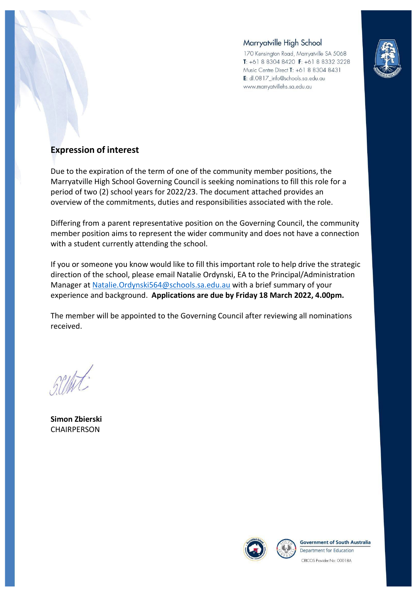#### Marryatville High School

170 Kensington Road, Marryatville SA 5068  $T: +61883048420$   $F: +61883323228$ Music Centre Direct T: +61 8 8304 8431 E: dl.0817\_info@schools.sa.edu.au www.marryatvillehs.sa.edu.au



#### **Expression of interest**

Due to the expiration of the term of one of the community member positions, the Marryatville High School Governing Council is seeking nominations to fill this role for a period of two (2) school years for 2022/23. The document attached provides an overview of the commitments, duties and responsibilities associated with the role.

Differing from a parent representative position on the Governing Council, the community member position aims to represent the wider community and does not have a connection with a student currently attending the school.

If you or someone you know would like to fill this important role to help drive the strategic direction of the school, please email Natalie Ordynski, EA to the Principal/Administration Manager at Natalie. Ordynski564@schools.sa.edu.au with a brief summary of your experience and background. **Applications are due by Friday 18 March 2022, 4.00pm.**

The member will be appointed to the Governing Council after reviewing all nominations received.

SCHAT

**Simon Zbierski CHAIRPERSON** 



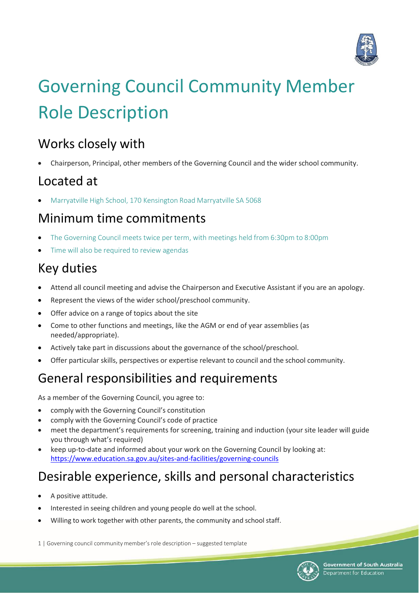

# Governing Council Community Member Role Description

## Works closely with

• Chairperson, Principal, other members of the Governing Council and the wider school community.

## Located at

• Marryatville High School, 170 Kensington Road Marryatville SA 5068

#### Minimum time commitments

- The Governing Council meets twice per term, with meetings held from 6:30pm to 8:00pm
- Time will also be required to review agendas

# Key duties

- Attend all council meeting and advise the Chairperson and Executive Assistant if you are an apology.
- Represent the views of the wider school/preschool community.
- Offer advice on a range of topics about the site
- Come to other functions and meetings, like the AGM or end of year assemblies (as needed/appropriate).
- Actively take part in discussions about the governance of the school/preschool.
- Offer particular skills, perspectives or expertise relevant to council and the school community.

# General responsibilities and requirements

As a member of the Governing Council, you agree to:

- comply with the Governing Council's constitution
- comply with the Governing Council's code of practice
- meet the department's requirements for screening, training and induction (your site leader will guide you through what's required)
- keep up-to-date and informed about your work on the Governing Council by looking at: <https://www.education.sa.gov.au/sites-and-facilities/governing-councils>

# Desirable experience, skills and personal characteristics

- A positive attitude.
- Interested in seeing children and young people do well at the school.
- Willing to work together with other parents, the community and school staff.

1 | Governing council community member's role description – suggested template